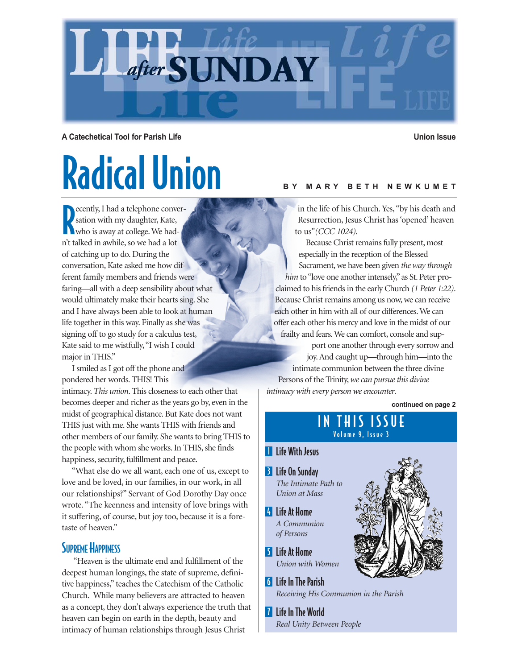

**A Catechetical Tool for Parish Life Union Issue**

# Radical Union

Secretly, I had a telephone conversation with my daughter, Kate, who is away at college. We hadecently, I had a telephone conversation with my daughter, Kate, n't talked in awhile, so we had a lot of catching up to do. During the conversation, Kate asked me how different family members and friends were faring—all with a deep sensibility about what would ultimately make their hearts sing. She and I have always been able to look at human life together in this way. Finally as she was signing off to go study for a calculus test, Kate said to me wistfully,"I wish I could major in THIS."

I smiled as I got off the phone and pondered her words. THIS! This

intimacy. *This union*. This closeness to each other that becomes deeper and richer as the years go by, even in the midst of geographical distance. But Kate does not want THIS just with me. She wants THIS with friends and other members of our family. She wants to bring THIS to the people with whom she works. In THIS, she finds happiness, security, fulfillment and peace.

"What else do we all want, each one of us, except to love and be loved, in our families, in our work, in all our relationships?" Servant of God Dorothy Day once wrote. "The keenness and intensity of love brings with it suffering, of course, but joy too, because it is a foretaste of heaven."

#### **SUPREME HAPPINESS**

"Heaven is the ultimate end and fulfillment of the deepest human longings, the state of supreme, definitive happiness," teaches the Catechism of the Catholic Church. While many believers are attracted to heaven as a concept, they don't always experience the truth that heaven can begin on earth in the depth, beauty and intimacy of human relationships through Jesus Christ

#### **BY MARY BETH NEWKUMET**

in the life of his Church. Yes, "by his death and Resurrection, Jesus Christ has 'opened' heaven to us"*(CCC 1024).*

Because Christ remains fully present, most especially in the reception of the Blessed Sacrament, we have been given *the way through him* to "love one another intensely," as St. Peter proclaimed to his friends in the early Church *(1 Peter 1:22)*. Because Christ remains among us now, we can receive each other in him with all of our differences. We can offer each other his mercy and love in the midst of our frailty and fears. We can comfort, console and sup-

port one another through every sorrow and joy. And caught up—through him—into the intimate communion between the three divine Persons of the Trinity,*we can pursue this divine intimacy with every person we encounter*.

**continued on page 2**

#### IN THIS ISSUE Volume 9, Issue 3

- **Life With Jesus**
- Life On Sunday 3 *The Intimate Path to Union at Mass*
- 4 Life At Home *A Communion of Persons*
- Life At Home 5 *Union with Women*
- **6** Life In The Parish *Receiving His Communion in the Parish*
- **Life In The World** *Real Unity Between People*

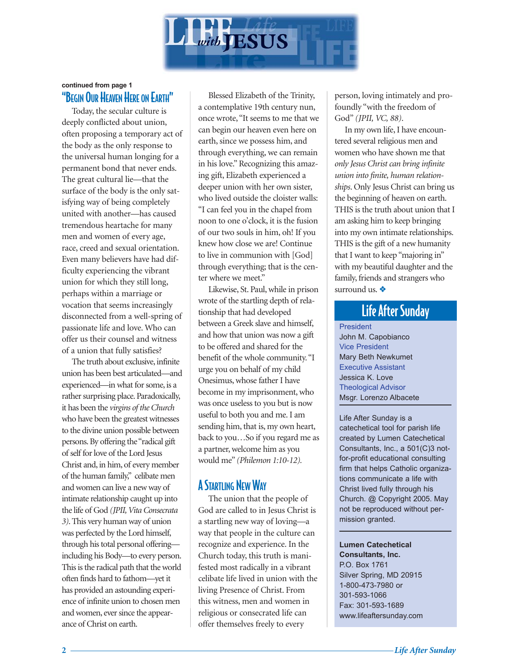

#### "BEGIN OUR HEAVEN HERE ON EARTH" **continued from page 1**

Today, the secular culture is deeply conflicted about union, often proposing a temporary act of the body as the only response to the universal human longing for a permanent bond that never ends. The great cultural lie—that the surface of the body is the only satisfying way of being completely united with another—has caused tremendous heartache for many men and women of every age, race, creed and sexual orientation. Even many believers have had difficulty experiencing the vibrant union for which they still long, perhaps within a marriage or vocation that seems increasingly disconnected from a well-spring of passionate life and love. Who can offer us their counsel and witness of a union that fully satisfies?

The truth about exclusive, infinite union has been best articulated—and experienced—in what for some, is a rather surprising place. Paradoxically, it has been the *virgins of the Church* who have been the greatest witnesses to the divine union possible between persons. By offering the "radical gift of self for love of the Lord Jesus Christ and, in him, of every member of the human family," celibate men and women can live a new way of intimate relationship caught up into the life of God *(JPII, Vita Consecrata 3)*. This very human way of union was perfected by the Lord himself, through his total personal offering including his Body—to every person. This is the radical path that the world often finds hard to fathom—yet it has provided an astounding experience of infinite union to chosen men and women, ever since the appearance of Christ on earth.

Blessed Elizabeth of the Trinity, a contemplative 19th century nun, once wrote, "It seems to me that we can begin our heaven even here on earth, since we possess him, and through everything, we can remain in his love." Recognizing this amazing gift, Elizabeth experienced a deeper union with her own sister, who lived outside the cloister walls: "I can feel you in the chapel from noon to one o'clock, it is the fusion of our two souls in him, oh! If you knew how close we are! Continue to live in communion with [God] through everything; that is the center where we meet."

Likewise, St. Paul, while in prison wrote of the startling depth of relationship that had developed between a Greek slave and himself, and how that union was now a gift to be offered and shared for the benefit of the whole community."I urge you on behalf of my child Onesimus, whose father I have become in my imprisonment, who was once useless to you but is now useful to both you and me. I am sending him, that is, my own heart, back to you…So if you regard me as a partner, welcome him as you would me" *(Philemon 1:10-12).*

#### A STARTLING NEW WAY

The union that the people of God are called to in Jesus Christ is a startling new way of loving—a way that people in the culture can recognize and experience. In the Church today, this truth is manifested most radically in a vibrant celibate life lived in union with the living Presence of Christ. From this witness, men and women in religious or consecrated life can offer themselves freely to every

person, loving intimately and profoundly "with the freedom of God" *(JPII, VC, 88)*.

In my own life, I have encountered several religious men and women who have shown me that *only Jesus Christ can bring infinite union into finite, human relationships*. Only Jesus Christ can bring us the beginning of heaven on earth. THIS is the truth about union that I am asking him to keep bringing into my own intimate relationships. THIS is the gift of a new humanity that I want to keep "majoring in" with my beautiful daughter and the family, friends and strangers who surround us. ❖

### Life After Sunday

President John M. Capobianco Vice President Mary Beth Newkumet Executive Assistant Jessica K. Love Theological Advisor Msgr. Lorenzo Albacete

Life After Sunday is a catechetical tool for parish life created by Lumen Catechetical Consultants, Inc., a 501(C)3 notfor-profit educational consulting firm that helps Catholic organizations communicate a life with Christ lived fully through his Church. @ Copyright 2005. May not be reproduced without permission granted.

**Lumen Catechetical Consultants, Inc.** P.O. Box 1761 Silver Spring, MD 20915 1-800-473-7980 or 301-593-1066 Fax: 301-593-1689 www.lifeaftersunday.com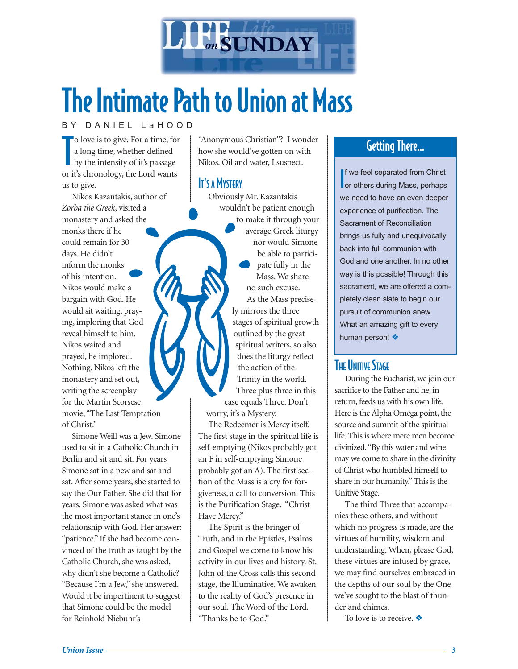

### The Intimate Path to Union at Mass

#### BY DANIEL LaHOOD

T o love is to give. For a time, for a long time, whether defined by the intensity of it's passage or it's chronology, the Lord wants us to give.

Nikos Kazantakis, author of *Zorba the Greek*, visited a monastery and asked the monks there if he could remain for 30 days. He didn't inform the monks of his intention. Nikos would make a bargain with God. He would sit waiting, praying, imploring that God reveal himself to him. Nikos waited and prayed, he implored. Nothing. Nikos left the monastery and set out, writing the screenplay for the Martin Scorsese movie, "The Last Temptation of Christ."

Simone Weill was a Jew. Simone used to sit in a Catholic Church in Berlin and sit and sit. For years Simone sat in a pew and sat and sat. After some years, she started to say the Our Father. She did that for years. Simone was asked what was the most important stance in one's relationship with God. Her answer: "patience." If she had become convinced of the truth as taught by the Catholic Church, she was asked, why didn't she become a Catholic? "Because I'm a Jew," she answered. Would it be impertinent to suggest that Simone could be the model for Reinhold Niebuhr's

"Anonymous Christian"? I wonder how she would've gotten on with Nikos. Oil and water, I suspect.

#### IT'S A MYSTERY

Obviously Mr. Kazantakis wouldn't be patient enough to make it through your average Greek liturgy nor would Simone be able to participate fully in the Mass. We share no such excuse. As the Mass precisely mirrors the three stages of spiritual growth outlined by the great spiritual writers, so also does the liturgy reflect the action of the Trinity in the world. Three plus three in this case equals Three. Don't worry, it's a Mystery.

The Redeemer is Mercy itself. The first stage in the spiritual life is self-emptying (Nikos probably got an F in self-emptying; Simone probably got an A). The first section of the Mass is a cry for forgiveness, a call to conversion. This is the Purification Stage. "Christ Have Mercy."

The Spirit is the bringer of Truth, and in the Epistles, Psalms and Gospel we come to know his activity in our lives and history. St. John of the Cross calls this second stage, the Illuminative. We awaken to the reality of God's presence in our soul. The Word of the Lord. "Thanks be to God."

### Getting There…

I f we feel separated from Christ or others during Mass, perhaps we need to have an even deeper experience of purification. The Sacrament of Reconciliation brings us fully and unequivocally back into full communion with God and one another. In no other way is this possible! Through this sacrament, we are offered a completely clean slate to begin our pursuit of communion anew. What an amazing gift to every human person! ❖

#### **THE UNITIVE STAGE**

During the Eucharist, we join our sacrifice to the Father and he, in return, feeds us with his own life. Here is the Alpha Omega point, the source and summit of the spiritual life. This is where mere men become divinized."By this water and wine may we come to share in the divinity of Christ who humbled himself to share in our humanity." This is the Unitive Stage.

The third Three that accompanies these others, and without which no progress is made, are the virtues of humility, wisdom and understanding. When, please God, these virtues are infused by grace, we may find ourselves embraced in the depths of our soul by the One we've sought to the blast of thunder and chimes.

To love is to receive. ❖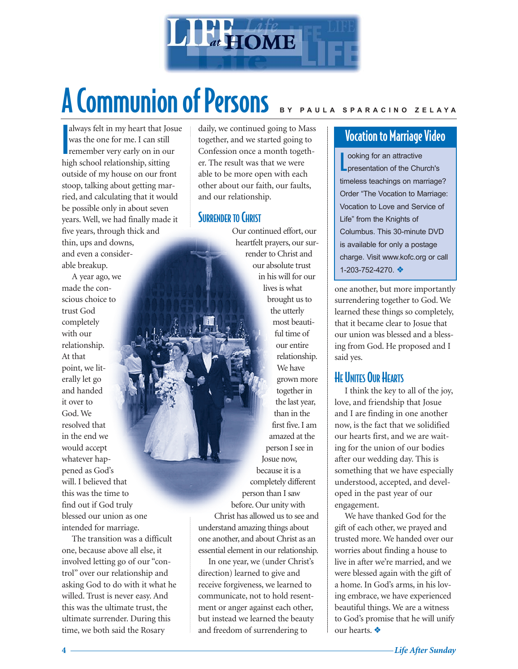

### A Communion of Persons **BY PAULA SPARACINO ZELAYA**

I always felt in my heart that Josue was the one for me. I can still remember very early on in our high school relationship, sitting outside of my house on our front stoop, talking about getting married, and calculating that it would be possible only in about seven years. Well, we had finally made it five years, through thick and thin, ups and downs, and even a considerable breakup.

A year ago, we made the conscious choice to trust God completely with our relationship. At that point, we literally let go and handed it over to God. We resolved that in the end we would accept whatever happened as God's will. I believed that this was the time to find out if God truly blessed our union as one intended for marriage.

The transition was a difficult one, because above all else, it involved letting go of our "control" over our relationship and asking God to do with it what he willed. Trust is never easy. And this was the ultimate trust, the ultimate surrender. During this time, we both said the Rosary

daily, we continued going to Mass together, and we started going to Confession once a month together. The result was that we were able to be more open with each other about our faith, our faults, and our relationship.

#### SURRENDER TO CHRIST

Our continued effort, our heartfelt prayers, our surrender to Christ and our absolute trust in his will for our lives is what brought us to the utterly most beautiful time of our entire relationship. We have grown more together in the last year, than in the first five. I am amazed at the person I see in Josue now, because it is a completely different person than I saw before. Our unity with Christ has allowed us to see and understand amazing things about one another, and about Christ as an essential element in our relationship.

In one year, we (under Christ's direction) learned to give and receive forgiveness, we learned to communicate, not to hold resentment or anger against each other, but instead we learned the beauty and freedom of surrendering to

#### Vocation to Marriage Video

L ooking for an attractive presentation of the Church's timeless teachings on marriage? Order "The Vocation to Marriage: Vocation to Love and Service of Life" from the Knights of Columbus. This 30-minute DVD is available for only a postage charge. Visit www.kofc.org or call 1-203-752-4270. ❖

one another, but more importantly surrendering together to God. We learned these things so completely, that it became clear to Josue that our union was blessed and a blessing from God. He proposed and I said yes.

#### HE UNITES OUR HEARTS

I think the key to all of the joy, love, and friendship that Josue and I are finding in one another now, is the fact that we solidified our hearts first, and we are waiting for the union of our bodies after our wedding day. This is something that we have especially understood, accepted, and developed in the past year of our engagement.

We have thanked God for the gift of each other, we prayed and trusted more. We handed over our worries about finding a house to live in after we're married, and we were blessed again with the gift of a home. In God's arms, in his loving embrace, we have experienced beautiful things. We are a witness to God's promise that he will unify our hearts. ❖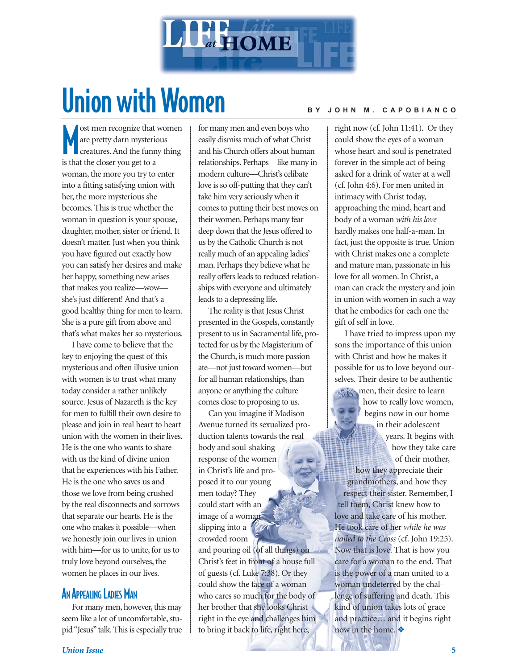

## Union with Women **BY JOHN M. CAPOBIANCO**

M ost men recognize that women are pretty darn mysterious creatures. And the funny thing is that the closer you get to a woman, the more you try to enter into a fitting satisfying union with her, the more mysterious she becomes. This is true whether the woman in question is your spouse, daughter, mother, sister or friend. It doesn't matter. Just when you think you have figured out exactly how you can satisfy her desires and make her happy, something new arises that makes you realize—wow she's just different! And that's a good healthy thing for men to learn. She is a pure gift from above and that's what makes her so mysterious.

I have come to believe that the key to enjoying the quest of this mysterious and often illusive union with women is to trust what many today consider a rather unlikely source. Jesus of Nazareth is the key for men to fulfill their own desire to please and join in real heart to heart union with the women in their lives. He is the one who wants to share with us the kind of divine union that he experiences with his Father. He is the one who saves us and those we love from being crushed by the real disconnects and sorrows that separate our hearts. He is the one who makes it possible—when we honestly join our lives in union with him—for us to unite, for us to truly love beyond ourselves, the women he places in our lives.

#### AN APPEALING LADIES MAN

For many men, however, this may seem like a lot of uncomfortable, stupid "Jesus" talk. This is especially true for many men and even boys who easily dismiss much of what Christ and his Church offers about human relationships. Perhaps—like many in modern culture—Christ's celibate love is so off-putting that they can't take him very seriously when it comes to putting their best moves on their women. Perhaps many fear deep down that the Jesus offered to us by the Catholic Church is not really much of an appealing ladies' man. Perhaps they believe what he really offers leads to reduced relationships with everyone and ultimately leads to a depressing life.

The reality is that Jesus Christ presented in the Gospels, constantly present to us in Sacramental life, protected for us by the Magisterium of the Church, is much more passionate—not just toward women—but for all human relationships, than anyone or anything the culture comes close to proposing to us.

Can you imagine if Madison Avenue turned its sexualized production talents towards the real body and soul-shaking response of the women in Christ's life and proposed it to our young men today? They could start with an image of a woman slipping into a crowded room

and pouring oil (of all things) on Christ's feet in front of a house full of guests (cf. Luke 7:38). Or they could show the face of a woman who cares so much for the body of her brother that she looks Christ right in the eye and challenges him to bring it back to life, right here,

right now (cf. John 11:41). Or they could show the eyes of a woman whose heart and soul is penetrated forever in the simple act of being asked for a drink of water at a well (cf. John 4:6). For men united in intimacy with Christ today, approaching the mind, heart and body of a woman *with his love* hardly makes one half-a-man. In fact, just the opposite is true. Union with Christ makes one a complete and mature man, passionate in his love for all women. In Christ, a man can crack the mystery and join in union with women in such a way that he embodies for each one the gift of self in love.

I have tried to impress upon my sons the importance of this union with Christ and how he makes it possible for us to love beyond ourselves. Their desire to be authentic men, their desire to learn

how to really love women, begins now in our home in their adolescent years. It begins with how they take care of their mother,

how they appreciate their grandmothers, and how they respect their sister. Remember, I tell them, Christ knew how to love and take care of his mother. He took care of her *while he was nailed to the Cross* (cf. John 19:25). Now that is love. That is how you care for a woman to the end. That is the power of a man united to a woman undeterred by the challenge of suffering and death. This kind of union takes lots of grace and practice… and it begins right now in the home. ❖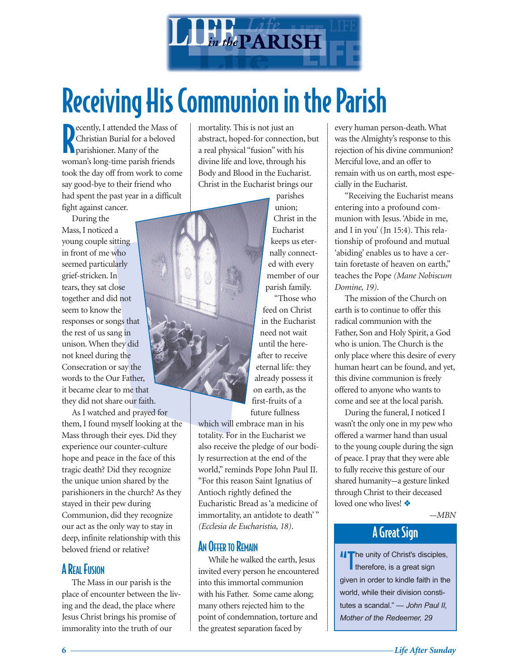

### Receiving His Communion in the Parish

**Parishis School School School School School School School School School School School School School School School School School School School School School School School School School School School School School School Sc** ecently, I attended the Mass of Christian Burial for a beloved woman's long-time parish friends took the day off from work to come say good-bye to their friend who had spent the past year in a difficult fight against cancer.

During the Mass, I noticed a young couple sitting in front of me who seemed particularly grief-stricken. In tears, they sat close together and did not seem to know the responses or songs that the rest of us sang in unison. When they did not kneel during the Consecration or say the words to the Our Father, it became clear to me that they did not share our faith.

As I watched and prayed for them, I found myself looking at the Mass through their eyes. Did they experience our counter-culture hope and peace in the face of this tragic death? Did they recognize the unique union shared by the parishioners in the church? As they stayed in their pew during Communion, did they recognize our act as the only way to stay in deep, infinite relationship with this beloved friend or relative?

#### **A REAL FUSION**

The Mass in our parish is the place of encounter between the living and the dead, the place where Jesus Christ brings his promise of immorality into the truth of our

mortality. This is not just an abstract, hoped-for connection, but a real physical "fusion" with his divine life and love, through his Body and Blood in the Eucharist. Christ in the Eucharist brings our

> parishes union; Christ in the Eucharist keeps us eternally connected with every member of our parish family.

"Those who feed on Christ in the Eucharist need not wait until the hereafter to receive eternal life: they already possess it on earth, as the first-fruits of a future fullness

which will embrace man in his totality. For in the Eucharist we also receive the pledge of our bodily resurrection at the end of the world," reminds Pope John Paul II. "For this reason Saint Ignatius of Antioch rightly defined the Eucharistic Bread as 'a medicine of immortality, an antidote to death'" *(Ecclesia de Eucharistia, 18)*.

#### AN OFFER TO REMAIN

While he walked the earth, Jesus invited every person he encountered into this immortal communion with his Father. Some came along; many others rejected him to the point of condemnation, torture and the greatest separation faced by

every human person-death. What was the Almighty's response to this rejection of his divine communion? Merciful love, and an offer to remain with us on earth, most especially in the Eucharist.

"Receiving the Eucharist means entering into a profound communion with Jesus. 'Abide in me, and I in you' (Jn 15:4). This relationship of profound and mutual 'abiding' enables us to have a certain foretaste of heaven on earth," teaches the Pope *(Mane Nobiscum Domine, 19)*.

The mission of the Church on earth is to continue to offer this radical communion with the Father, Son and Holy Spirit, a God who is union. The Church is the only place where this desire of every human heart can be found, and yet, this divine communion is freely offered to anyone who wants to come and see at the local parish.

During the funeral, I noticed I wasn't the only one in my pew who offered a warmer hand than usual to the young couple during the sign of peace. I pray that they were able to fully receive this gesture of our shared humanity--a gesture linked through Christ to their deceased loved one who lives! ❖

 $-MBN$ 

#### A Great Sign

II The unity of Christ's disciples, therefore, is a great sign given in order to kindle faith in the world, while their division constitutes a scandal." *— John Paul II, Mother of the Redeemer, 29*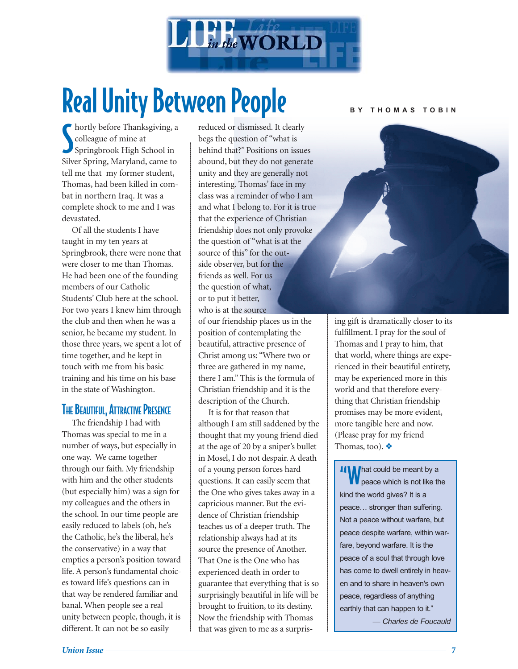

## Real Unity Between People

Subset of the Thanksgiving,<br>
Springbrook High School in hortly before Thanksgiving, a colleague of mine at Silver Spring, Maryland, came to tell me that my former student, Thomas, had been killed in combat in northern Iraq. It was a complete shock to me and I was devastated.

Of all the students I have taught in my ten years at Springbrook, there were none that were closer to me than Thomas. He had been one of the founding members of our Catholic Students' Club here at the school. For two years I knew him through the club and then when he was a senior, he became my student. In those three years, we spent a lot of time together, and he kept in touch with me from his basic training and his time on his base in the state of Washington.

#### **THE BEAUTIFUL, ATTRACTIVE PRESENCE**

The friendship I had with Thomas was special to me in a number of ways, but especially in one way. We came together through our faith. My friendship with him and the other students (but especially him) was a sign for my colleagues and the others in the school. In our time people are easily reduced to labels (oh, he's the Catholic, he's the liberal, he's the conservative) in a way that empties a person's position toward life. A person's fundamental choices toward life's questions can in that way be rendered familiar and banal. When people see a real unity between people, though, it is different. It can not be so easily

reduced or dismissed. It clearly begs the question of "what is behind that?" Positions on issues abound, but they do not generate unity and they are generally not interesting. Thomas' face in my class was a reminder of who I am and what I belong to. For it is true that the experience of Christian friendship does not only provoke the question of "what is at the source of this" for the outside observer, but for the friends as well. For us the question of what, or to put it better, who is at the source of our friendship places us in the position of contemplating the beautiful, attractive presence of

Christ among us: "Where two or three are gathered in my name, there I am." This is the formula of Christian friendship and it is the description of the Church.

It is for that reason that although I am still saddened by the thought that my young friend died at the age of 20 by a sniper's bullet in Mosel, I do not despair. A death of a young person forces hard questions. It can easily seem that the One who gives takes away in a capricious manner. But the evidence of Christian friendship teaches us of a deeper truth. The relationship always had at its source the presence of Another. That One is the One who has experienced death in order to guarantee that everything that is so surprisingly beautiful in life will be brought to fruition, to its destiny. Now the friendship with Thomas that was given to me as a surpris-

#### **BY THOMAS TOBIN**

ing gift is dramatically closer to its fulfillment. I pray for the soul of Thomas and I pray to him, that that world, where things are experienced in their beautiful entirety, may be experienced more in this world and that therefore everything that Christian friendship promises may be more evident, more tangible here and now. (Please pray for my friend Thomas, too). ❖

**II\M** hat could be meant by a peace which is not like the kind the world gives? It is a peace… stronger than suffering. Not a peace without warfare, but peace despite warfare, within warfare, beyond warfare. It is the peace of a soul that through love has come to dwell entirely in heaven and to share in heaven's own peace, regardless of anything earthly that can happen to it."

*— Charles de Foucauld*